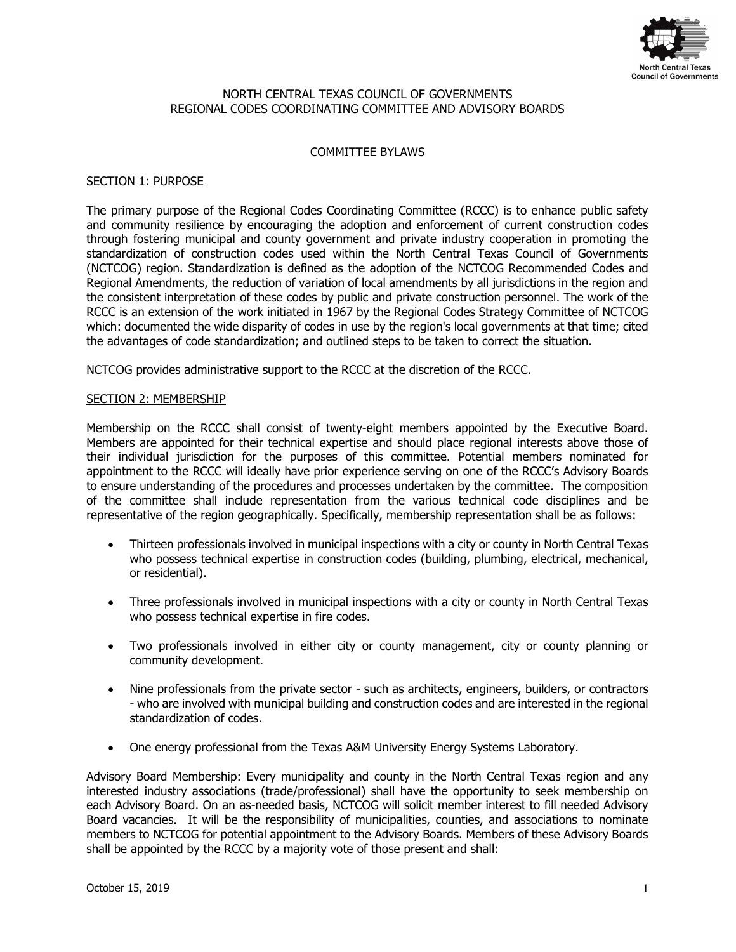

### NORTH CENTRAL TEXAS COUNCIL OF GOVERNMENTS REGIONAL CODES COORDINATING COMMITTEE AND ADVISORY BOARDS

## COMMITTEE BYLAWS

## SECTION 1: PURPOSE

The primary purpose of the Regional Codes Coordinating Committee (RCCC) is to enhance public safety and community resilience by encouraging the adoption and enforcement of current construction codes through fostering municipal and county government and private industry cooperation in promoting the standardization of construction codes used within the North Central Texas Council of Governments (NCTCOG) region. Standardization is defined as the adoption of the NCTCOG Recommended Codes and Regional Amendments, the reduction of variation of local amendments by all jurisdictions in the region and the consistent interpretation of these codes by public and private construction personnel. The work of the RCCC is an extension of the work initiated in 1967 by the Regional Codes Strategy Committee of NCTCOG which: documented the wide disparity of codes in use by the region's local governments at that time; cited the advantages of code standardization; and outlined steps to be taken to correct the situation.

NCTCOG provides administrative support to the RCCC at the discretion of the RCCC.

### SECTION 2: MEMBERSHIP

Membership on the RCCC shall consist of twenty-eight members appointed by the Executive Board. Members are appointed for their technical expertise and should place regional interests above those of their individual jurisdiction for the purposes of this committee. Potential members nominated for appointment to the RCCC will ideally have prior experience serving on one of the RCCC's Advisory Boards to ensure understanding of the procedures and processes undertaken by the committee. The composition of the committee shall include representation from the various technical code disciplines and be representative of the region geographically. Specifically, membership representation shall be as follows:

- Thirteen professionals involved in municipal inspections with a city or county in North Central Texas who possess technical expertise in construction codes (building, plumbing, electrical, mechanical, or residential).
- Three professionals involved in municipal inspections with a city or county in North Central Texas who possess technical expertise in fire codes.
- Two professionals involved in either city or county management, city or county planning or community development.
- Nine professionals from the private sector such as architects, engineers, builders, or contractors - who are involved with municipal building and construction codes and are interested in the regional standardization of codes.
- One energy professional from the Texas A&M University Energy Systems Laboratory.

Advisory Board Membership: Every municipality and county in the North Central Texas region and any interested industry associations (trade/professional) shall have the opportunity to seek membership on each Advisory Board. On an as-needed basis, NCTCOG will solicit member interest to fill needed Advisory Board vacancies. It will be the responsibility of municipalities, counties, and associations to nominate members to NCTCOG for potential appointment to the Advisory Boards. Members of these Advisory Boards shall be appointed by the RCCC by a majority vote of those present and shall: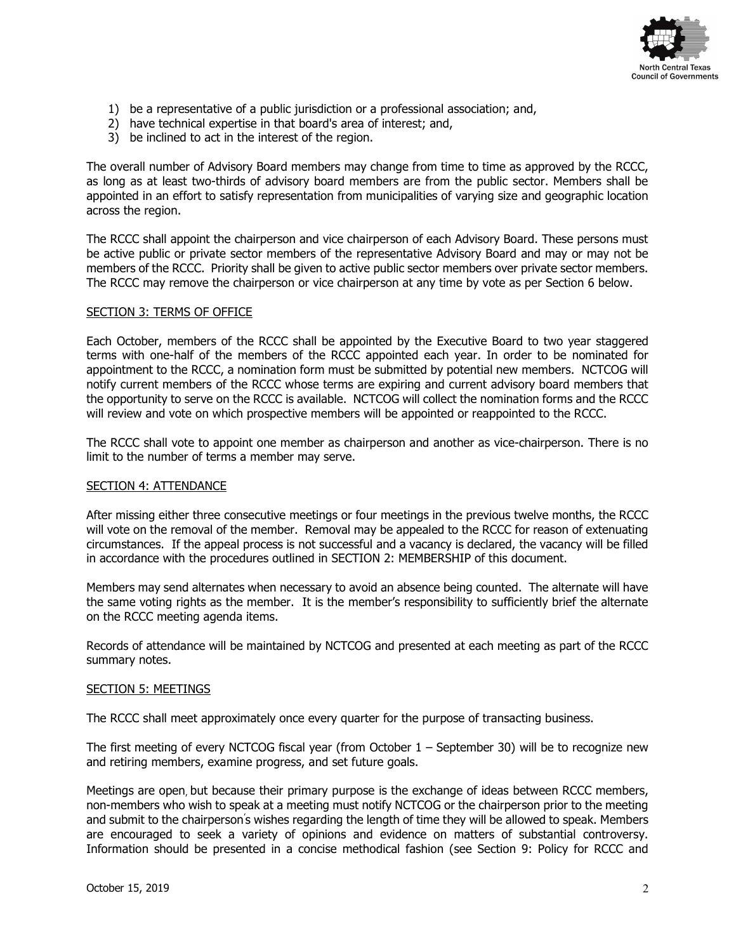

- 1) be a representative of a public jurisdiction or a professional association; and,
- 2) have technical expertise in that board's area of interest; and,
- 3) be inclined to act in the interest of the region.

The overall number of Advisory Board members may change from time to time as approved by the RCCC, as long as at least two-thirds of advisory board members are from the public sector. Members shall be appointed in an effort to satisfy representation from municipalities of varying size and geographic location across the region.

The RCCC shall appoint the chairperson and vice chairperson of each Advisory Board. These persons must be active public or private sector members of the representative Advisory Board and may or may not be members of the RCCC. Priority shall be given to active public sector members over private sector members. The RCCC may remove the chairperson or vice chairperson at any time by vote as per Section 6 below.

### SECTION 3: TERMS OF OFFICE

Each October, members of the RCCC shall be appointed by the Executive Board to two year staggered terms with one-half of the members of the RCCC appointed each year. In order to be nominated for appointment to the RCCC, a nomination form must be submitted by potential new members. NCTCOG will notify current members of the RCCC whose terms are expiring and current advisory board members that the opportunity to serve on the RCCC is available. NCTCOG will collect the nomination forms and the RCCC will review and vote on which prospective members will be appointed or reappointed to the RCCC.

The RCCC shall vote to appoint one member as chairperson and another as vice-chairperson. There is no limit to the number of terms a member may serve.

#### SECTION 4: ATTENDANCE

After missing either three consecutive meetings or four meetings in the previous twelve months, the RCCC will vote on the removal of the member. Removal may be appealed to the RCCC for reason of extenuating circumstances. If the appeal process is not successful and a vacancy is declared, the vacancy will be filled in accordance with the procedures outlined in SECTION 2: MEMBERSHIP of this document.

Members may send alternates when necessary to avoid an absence being counted. The alternate will have the same voting rights as the member. It is the member's responsibility to sufficiently brief the alternate on the RCCC meeting agenda items.

Records of attendance will be maintained by NCTCOG and presented at each meeting as part of the RCCC summary notes.

#### SECTION 5: MEETINGS

The RCCC shall meet approximately once every quarter for the purpose of transacting business.

The first meeting of every NCTCOG fiscal year (from October 1 – September 30) will be to recognize new and retiring members, examine progress, and set future goals.

Meetings are open, but because their primary purpose is the exchange of ideas between RCCC members, non-members who wish to speak at a meeting must notify NCTCOG or the chairperson prior to the meeting and submit to the chairperson's wishes regarding the length of time they will be allowed to speak. Members are encouraged to seek a variety of opinions and evidence on matters of substantial controversy. Information should be presented in a concise methodical fashion (see Section 9: Policy for RCCC and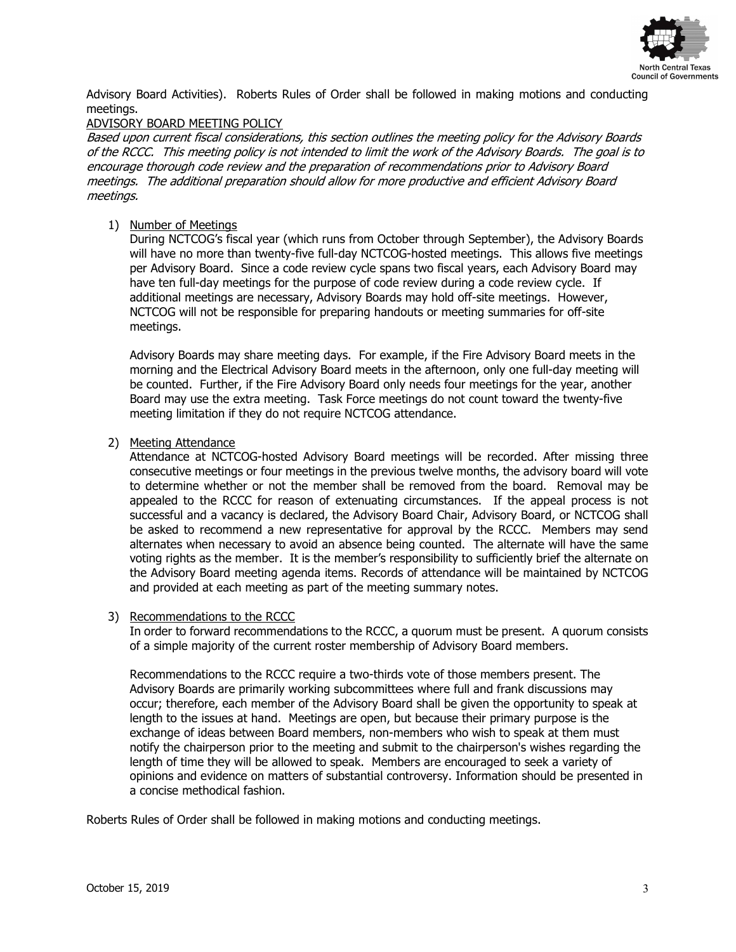

Advisory Board Activities). Roberts Rules of Order shall be followed in making motions and conducting meetings.

## ADVISORY BOARD MEETING POLICY

Based upon current fiscal considerations, this section outlines the meeting policy for the Advisory Boards of the RCCC. This meeting policy is not intended to limit the work of the Advisory Boards. The goal is to encourage thorough code review and the preparation of recommendations prior to Advisory Board meetings. The additional preparation should allow for more productive and efficient Advisory Board meetings.

# 1) Number of Meetings

During NCTCOG's fiscal year (which runs from October through September), the Advisory Boards will have no more than twenty-five full-day NCTCOG-hosted meetings. This allows five meetings per Advisory Board. Since a code review cycle spans two fiscal years, each Advisory Board may have ten full-day meetings for the purpose of code review during a code review cycle. If additional meetings are necessary, Advisory Boards may hold off-site meetings. However, NCTCOG will not be responsible for preparing handouts or meeting summaries for off-site meetings.

Advisory Boards may share meeting days. For example, if the Fire Advisory Board meets in the morning and the Electrical Advisory Board meets in the afternoon, only one full-day meeting will be counted. Further, if the Fire Advisory Board only needs four meetings for the year, another Board may use the extra meeting. Task Force meetings do not count toward the twenty-five meeting limitation if they do not require NCTCOG attendance.

2) Meeting Attendance

Attendance at NCTCOG-hosted Advisory Board meetings will be recorded. After missing three consecutive meetings or four meetings in the previous twelve months, the advisory board will vote to determine whether or not the member shall be removed from the board. Removal may be appealed to the RCCC for reason of extenuating circumstances. If the appeal process is not successful and a vacancy is declared, the Advisory Board Chair, Advisory Board, or NCTCOG shall be asked to recommend a new representative for approval by the RCCC. Members may send alternates when necessary to avoid an absence being counted. The alternate will have the same voting rights as the member. It is the member's responsibility to sufficiently brief the alternate on the Advisory Board meeting agenda items. Records of attendance will be maintained by NCTCOG and provided at each meeting as part of the meeting summary notes.

## 3) Recommendations to the RCCC

In order to forward recommendations to the RCCC, a quorum must be present. A quorum consists of a simple majority of the current roster membership of Advisory Board members.

Recommendations to the RCCC require a two-thirds vote of those members present. The Advisory Boards are primarily working subcommittees where full and frank discussions may occur; therefore, each member of the Advisory Board shall be given the opportunity to speak at length to the issues at hand. Meetings are open, but because their primary purpose is the exchange of ideas between Board members, non-members who wish to speak at them must notify the chairperson prior to the meeting and submit to the chairperson's wishes regarding the length of time they will be allowed to speak. Members are encouraged to seek a variety of opinions and evidence on matters of substantial controversy. Information should be presented in a concise methodical fashion.

Roberts Rules of Order shall be followed in making motions and conducting meetings.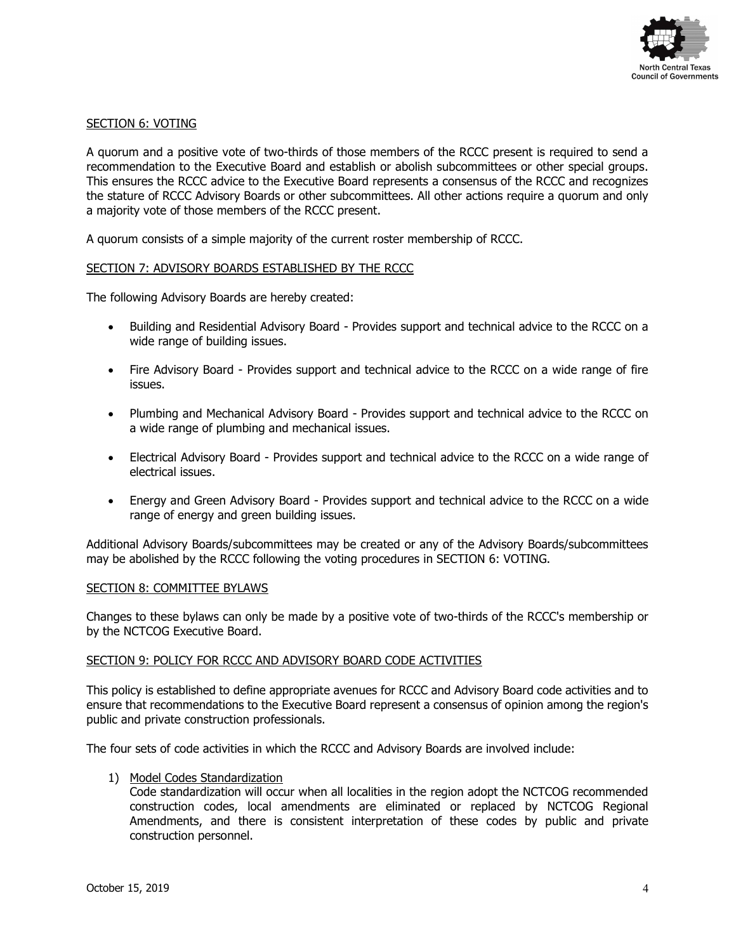

## SECTION 6: VOTING

A quorum and a positive vote of two-thirds of those members of the RCCC present is required to send a recommendation to the Executive Board and establish or abolish subcommittees or other special groups. This ensures the RCCC advice to the Executive Board represents a consensus of the RCCC and recognizes the stature of RCCC Advisory Boards or other subcommittees. All other actions require a quorum and only a majority vote of those members of the RCCC present.

A quorum consists of a simple majority of the current roster membership of RCCC.

#### SECTION 7: ADVISORY BOARDS ESTABLISHED BY THE RCCC

The following Advisory Boards are hereby created:

- Building and Residential Advisory Board Provides support and technical advice to the RCCC on a wide range of building issues.
- Fire Advisory Board Provides support and technical advice to the RCCC on a wide range of fire issues.
- Plumbing and Mechanical Advisory Board Provides support and technical advice to the RCCC on a wide range of plumbing and mechanical issues.
- Electrical Advisory Board Provides support and technical advice to the RCCC on a wide range of electrical issues.
- Energy and Green Advisory Board Provides support and technical advice to the RCCC on a wide range of energy and green building issues.

Additional Advisory Boards/subcommittees may be created or any of the Advisory Boards/subcommittees may be abolished by the RCCC following the voting procedures in SECTION 6: VOTING.

#### SECTION 8: COMMITTEE BYLAWS

Changes to these bylaws can only be made by a positive vote of two-thirds of the RCCC's membership or by the NCTCOG Executive Board.

#### SECTION 9: POLICY FOR RCCC AND ADVISORY BOARD CODE ACTIVITIES

This policy is established to define appropriate avenues for RCCC and Advisory Board code activities and to ensure that recommendations to the Executive Board represent a consensus of opinion among the region's public and private construction professionals.

The four sets of code activities in which the RCCC and Advisory Boards are involved include:

1) Model Codes Standardization

Code standardization will occur when all localities in the region adopt the NCTCOG recommended construction codes, local amendments are eliminated or replaced by NCTCOG Regional Amendments, and there is consistent interpretation of these codes by public and private construction personnel.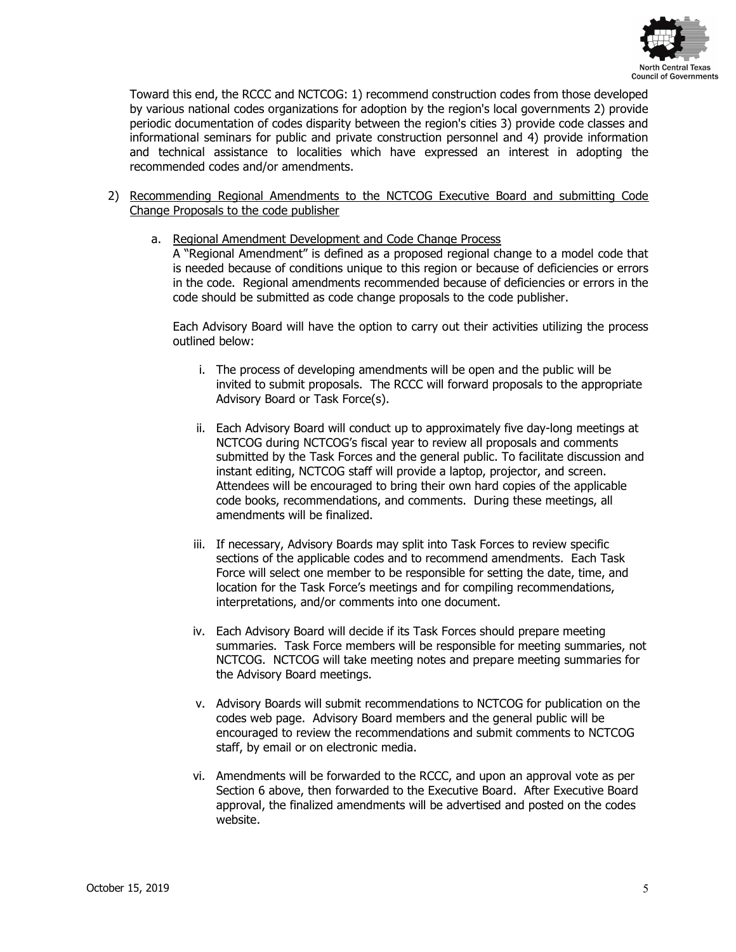

Toward this end, the RCCC and NCTCOG: 1) recommend construction codes from those developed by various national codes organizations for adoption by the region's local governments 2) provide periodic documentation of codes disparity between the region's cities 3) provide code classes and informational seminars for public and private construction personnel and 4) provide information and technical assistance to localities which have expressed an interest in adopting the recommended codes and/or amendments.

- 2) Recommending Regional Amendments to the NCTCOG Executive Board and submitting Code Change Proposals to the code publisher
	- a. Regional Amendment Development and Code Change Process

A "Regional Amendment" is defined as a proposed regional change to a model code that is needed because of conditions unique to this region or because of deficiencies or errors in the code. Regional amendments recommended because of deficiencies or errors in the code should be submitted as code change proposals to the code publisher.

Each Advisory Board will have the option to carry out their activities utilizing the process outlined below:

- i. The process of developing amendments will be open and the public will be invited to submit proposals. The RCCC will forward proposals to the appropriate Advisory Board or Task Force(s).
- ii. Each Advisory Board will conduct up to approximately five day-long meetings at NCTCOG during NCTCOG's fiscal year to review all proposals and comments submitted by the Task Forces and the general public. To facilitate discussion and instant editing, NCTCOG staff will provide a laptop, projector, and screen. Attendees will be encouraged to bring their own hard copies of the applicable code books, recommendations, and comments. During these meetings, all amendments will be finalized.
- iii. If necessary, Advisory Boards may split into Task Forces to review specific sections of the applicable codes and to recommend amendments. Each Task Force will select one member to be responsible for setting the date, time, and location for the Task Force's meetings and for compiling recommendations, interpretations, and/or comments into one document.
- iv. Each Advisory Board will decide if its Task Forces should prepare meeting summaries. Task Force members will be responsible for meeting summaries, not NCTCOG. NCTCOG will take meeting notes and prepare meeting summaries for the Advisory Board meetings.
- v. Advisory Boards will submit recommendations to NCTCOG for publication on the codes web page. Advisory Board members and the general public will be encouraged to review the recommendations and submit comments to NCTCOG staff, by email or on electronic media.
- vi. Amendments will be forwarded to the RCCC, and upon an approval vote as per Section 6 above, then forwarded to the Executive Board. After Executive Board approval, the finalized amendments will be advertised and posted on the codes website.